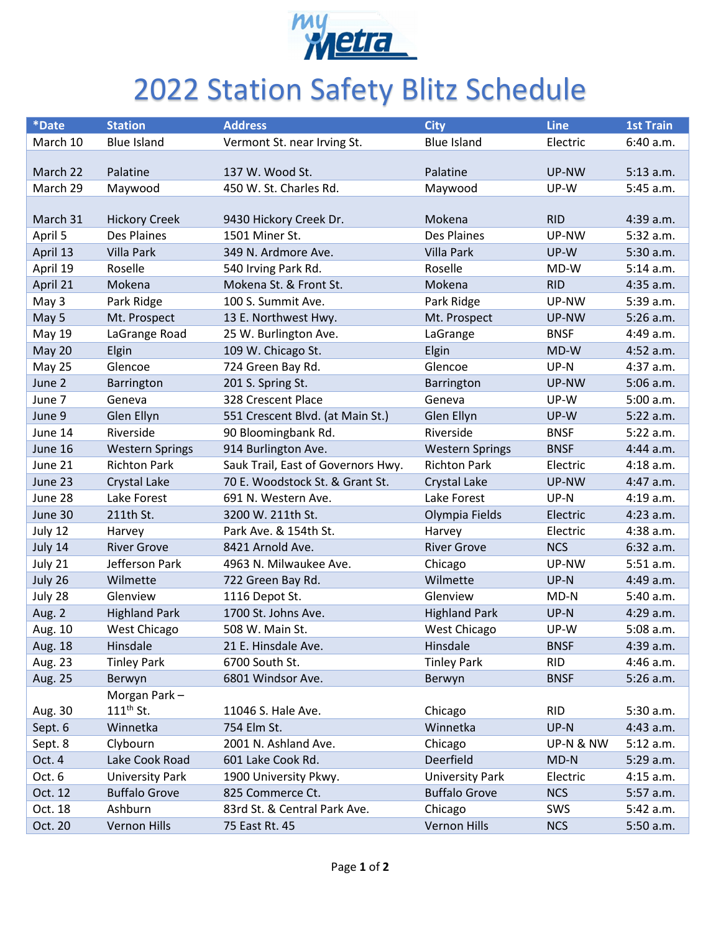

## 2022 Station Safety Blitz Schedule

| *Date         | <b>Station</b>         | <b>Address</b>                     | <b>City</b>            | <b>Line</b> | <b>1st Train</b> |
|---------------|------------------------|------------------------------------|------------------------|-------------|------------------|
| March 10      | <b>Blue Island</b>     | Vermont St. near Irving St.        | <b>Blue Island</b>     | Electric    | 6:40 a.m.        |
|               |                        |                                    |                        |             |                  |
| March 22      | Palatine               | 137 W. Wood St.                    | Palatine               | UP-NW       | $5:13$ a.m.      |
| March 29      | Maywood                | 450 W. St. Charles Rd.             | Maywood                | UP-W        | 5:45 a.m.        |
|               |                        |                                    |                        |             |                  |
| March 31      | <b>Hickory Creek</b>   | 9430 Hickory Creek Dr.             | Mokena                 | <b>RID</b>  | 4:39 a.m.        |
| April 5       | Des Plaines            | 1501 Miner St.                     | Des Plaines            | UP-NW       | 5:32 a.m.        |
| April 13      | <b>Villa Park</b>      | 349 N. Ardmore Ave.                | <b>Villa Park</b>      | UP-W        | 5:30 a.m.        |
| April 19      | Roselle                | 540 Irving Park Rd.                | Roselle                | MD-W        | 5:14 a.m.        |
| April 21      | Mokena                 | Mokena St. & Front St.             | Mokena                 | <b>RID</b>  | 4:35 a.m.        |
| May 3         | Park Ridge             | 100 S. Summit Ave.                 | Park Ridge             | UP-NW       | 5:39 a.m.        |
| May 5         | Mt. Prospect           | 13 E. Northwest Hwy.               | Mt. Prospect           | UP-NW       | $5:26$ a.m.      |
| <b>May 19</b> | LaGrange Road          | 25 W. Burlington Ave.              | LaGrange               | <b>BNSF</b> | 4:49 a.m.        |
| <b>May 20</b> | Elgin                  | 109 W. Chicago St.                 | Elgin                  | MD-W        | 4:52 a.m.        |
| <b>May 25</b> | Glencoe                | 724 Green Bay Rd.                  | Glencoe                | UP-N        | 4:37 a.m.        |
| June 2        | Barrington             | 201 S. Spring St.                  | <b>Barrington</b>      | UP-NW       | 5:06 a.m.        |
| June 7        | Geneva                 | 328 Crescent Place                 | Geneva                 | UP-W        | 5:00 a.m.        |
| June 9        | Glen Ellyn             | 551 Crescent Blvd. (at Main St.)   | Glen Ellyn             | UP-W        | 5:22 a.m.        |
| June 14       | Riverside              | 90 Bloomingbank Rd.                | Riverside              | <b>BNSF</b> | 5:22 a.m.        |
| June 16       | <b>Western Springs</b> | 914 Burlington Ave.                | <b>Western Springs</b> | <b>BNSF</b> | 4:44 a.m.        |
| June 21       | <b>Richton Park</b>    | Sauk Trail, East of Governors Hwy. | <b>Richton Park</b>    | Electric    | 4:18 a.m.        |
| June 23       | Crystal Lake           | 70 E. Woodstock St. & Grant St.    | Crystal Lake           | UP-NW       | 4:47 a.m.        |
| June 28       | Lake Forest            | 691 N. Western Ave.                | Lake Forest            | UP-N        | 4:19a.m.         |
| June 30       | 211th St.              | 3200 W. 211th St.                  | Olympia Fields         | Electric    | 4:23 a.m.        |
| July 12       | Harvey                 | Park Ave. & 154th St.              | Harvey                 | Electric    | 4:38 a.m.        |
| July 14       | <b>River Grove</b>     | 8421 Arnold Ave.                   | <b>River Grove</b>     | <b>NCS</b>  | 6:32 a.m.        |
| July 21       | Jefferson Park         | 4963 N. Milwaukee Ave.             | Chicago                | UP-NW       | 5:51 a.m.        |
| July 26       | Wilmette               | 722 Green Bay Rd.                  | Wilmette               | UP-N        | 4:49 a.m.        |
| July 28       | Glenview               | 1116 Depot St.                     | Glenview               | $MD-N$      | 5:40 a.m.        |
| Aug. 2        | <b>Highland Park</b>   | 1700 St. Johns Ave.                | <b>Highland Park</b>   | UP-N        | 4:29 a.m.        |
| Aug. 10       | West Chicago           | 508 W. Main St.                    | West Chicago           | UP-W        | 5:08 a.m.        |
| Aug. 18       | Hinsdale               | 21 E. Hinsdale Ave.                | Hinsdale               | <b>BNSF</b> | 4:39 a.m.        |
| Aug. 23       | <b>Tinley Park</b>     | 6700 South St.                     | <b>Tinley Park</b>     | <b>RID</b>  | 4:46 a.m.        |
| Aug. 25       | Berwyn                 | 6801 Windsor Ave.                  | Berwyn                 | <b>BNSF</b> | 5:26 a.m.        |
|               | Morgan Park-           |                                    |                        |             |                  |
| Aug. 30       | $111th$ St.            | 11046 S. Hale Ave.                 | Chicago                | <b>RID</b>  | 5:30 a.m.        |
| Sept. 6       | Winnetka               | 754 Elm St.                        | Winnetka               | UP-N        | 4:43 a.m.        |
| Sept. 8       | Clybourn               | 2001 N. Ashland Ave.               | Chicago                | UP-N & NW   | 5:12 a.m.        |
| Oct. 4        | Lake Cook Road         | 601 Lake Cook Rd.                  | Deerfield              | $MD-N$      | 5:29 a.m.        |
| Oct. 6        | <b>University Park</b> | 1900 University Pkwy.              | <b>University Park</b> | Electric    | 4:15 a.m.        |
| Oct. 12       | <b>Buffalo Grove</b>   | 825 Commerce Ct.                   | <b>Buffalo Grove</b>   | <b>NCS</b>  | 5:57 a.m.        |
| Oct. 18       | Ashburn                | 83rd St. & Central Park Ave.       | Chicago                | SWS         | 5:42 a.m.        |
| Oct. 20       | Vernon Hills           | 75 East Rt. 45                     | Vernon Hills           | <b>NCS</b>  | 5:50 a.m.        |